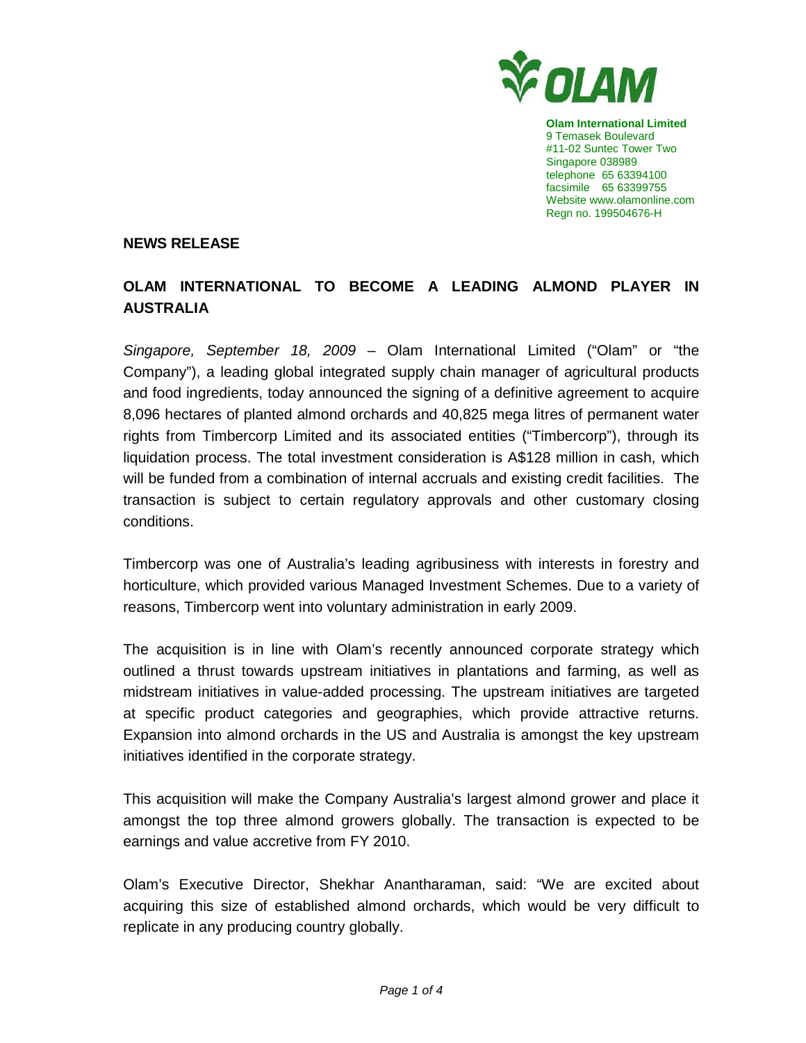

**Olam International Limited**  9 Temasek Boulevard #11-02 Suntec Tower Two Singapore 038989 telephone 65 63394100 facsimile 65 63399755 Website www.olamonline.com Regn no. 199504676-H

### **NEWS RELEASE**

# **OLAM INTERNATIONAL TO BECOME A LEADING ALMOND PLAYER IN AUSTRALIA**

Singapore, September 18, 2009 – Olam International Limited ("Olam" or "the Company"), a leading global integrated supply chain manager of agricultural products and food ingredients, today announced the signing of a definitive agreement to acquire 8,096 hectares of planted almond orchards and 40,825 mega litres of permanent water rights from Timbercorp Limited and its associated entities ("Timbercorp"), through its liquidation process. The total investment consideration is A\$128 million in cash, which will be funded from a combination of internal accruals and existing credit facilities. The transaction is subject to certain regulatory approvals and other customary closing conditions.

Timbercorp was one of Australia's leading agribusiness with interests in forestry and horticulture, which provided various Managed Investment Schemes. Due to a variety of reasons, Timbercorp went into voluntary administration in early 2009.

The acquisition is in line with Olam's recently announced corporate strategy which outlined a thrust towards upstream initiatives in plantations and farming, as well as midstream initiatives in value-added processing. The upstream initiatives are targeted at specific product categories and geographies, which provide attractive returns. Expansion into almond orchards in the US and Australia is amongst the key upstream initiatives identified in the corporate strategy.

This acquisition will make the Company Australia's largest almond grower and place it amongst the top three almond growers globally. The transaction is expected to be earnings and value accretive from FY 2010.

Olam's Executive Director, Shekhar Anantharaman, said: "We are excited about acquiring this size of established almond orchards, which would be very difficult to replicate in any producing country globally.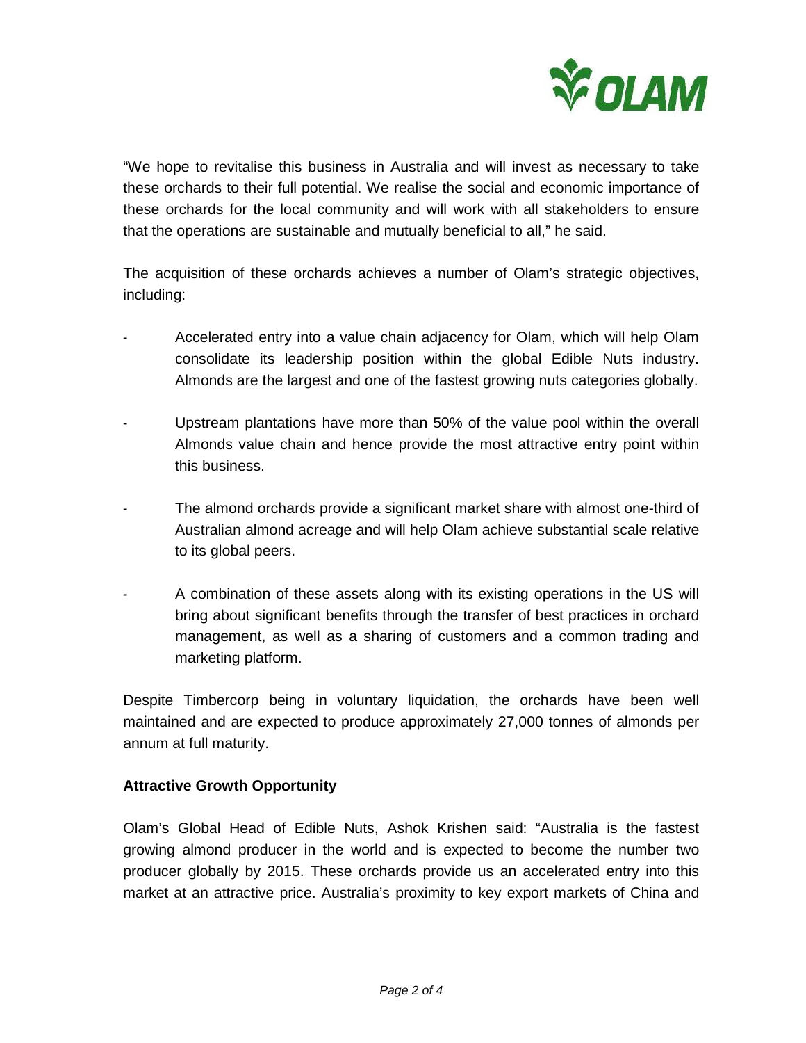

"We hope to revitalise this business in Australia and will invest as necessary to take these orchards to their full potential. We realise the social and economic importance of these orchards for the local community and will work with all stakeholders to ensure that the operations are sustainable and mutually beneficial to all," he said.

The acquisition of these orchards achieves a number of Olam's strategic objectives, including:

- Accelerated entry into a value chain adjacency for Olam, which will help Olam consolidate its leadership position within the global Edible Nuts industry. Almonds are the largest and one of the fastest growing nuts categories globally.
- Upstream plantations have more than 50% of the value pool within the overall Almonds value chain and hence provide the most attractive entry point within this business.
- The almond orchards provide a significant market share with almost one-third of Australian almond acreage and will help Olam achieve substantial scale relative to its global peers.
- A combination of these assets along with its existing operations in the US will bring about significant benefits through the transfer of best practices in orchard management, as well as a sharing of customers and a common trading and marketing platform.

Despite Timbercorp being in voluntary liquidation, the orchards have been well maintained and are expected to produce approximately 27,000 tonnes of almonds per annum at full maturity.

## **Attractive Growth Opportunity**

Olam's Global Head of Edible Nuts, Ashok Krishen said: "Australia is the fastest growing almond producer in the world and is expected to become the number two producer globally by 2015. These orchards provide us an accelerated entry into this market at an attractive price. Australia's proximity to key export markets of China and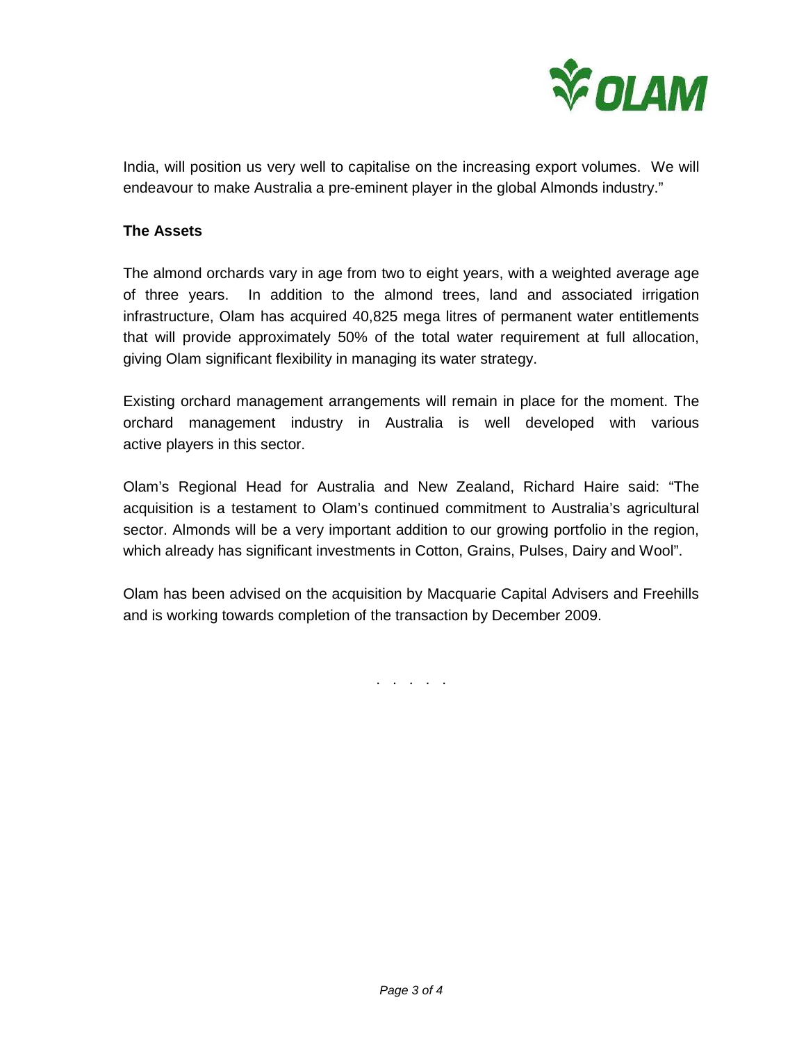

India, will position us very well to capitalise on the increasing export volumes. We will endeavour to make Australia a pre-eminent player in the global Almonds industry."

### **The Assets**

The almond orchards vary in age from two to eight years, with a weighted average age of three years. In addition to the almond trees, land and associated irrigation infrastructure, Olam has acquired 40,825 mega litres of permanent water entitlements that will provide approximately 50% of the total water requirement at full allocation, giving Olam significant flexibility in managing its water strategy.

Existing orchard management arrangements will remain in place for the moment. The orchard management industry in Australia is well developed with various active players in this sector.

Olam's Regional Head for Australia and New Zealand, Richard Haire said: "The acquisition is a testament to Olam's continued commitment to Australia's agricultural sector. Almonds will be a very important addition to our growing portfolio in the region, which already has significant investments in Cotton, Grains, Pulses, Dairy and Wool".

Olam has been advised on the acquisition by Macquarie Capital Advisers and Freehills and is working towards completion of the transaction by December 2009.

. . . . .